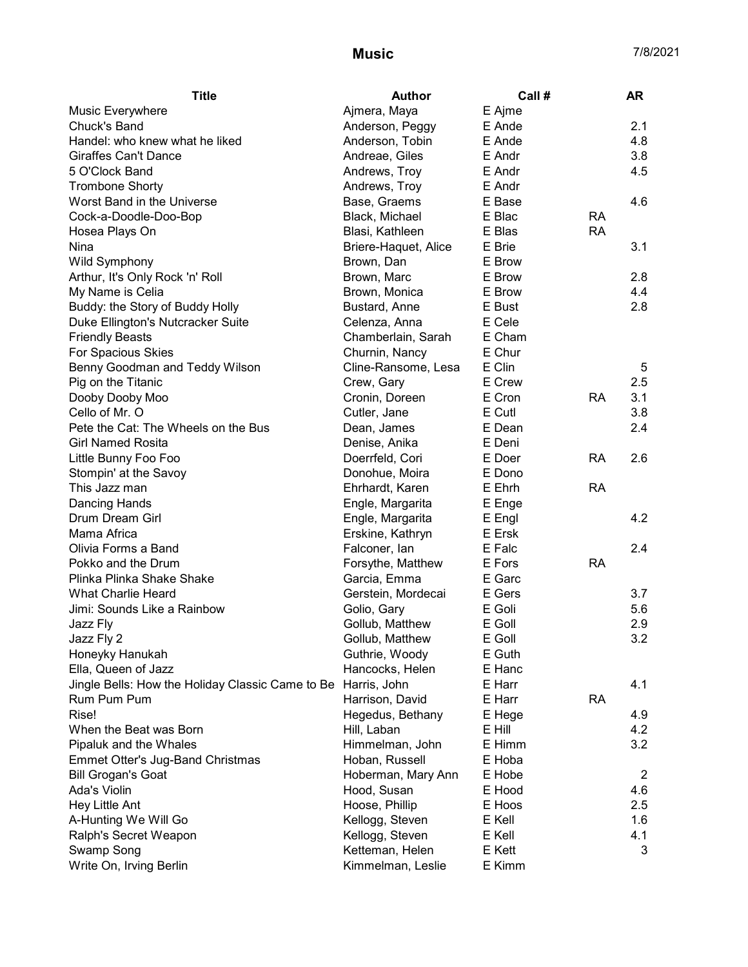| Ajmera, Maya<br>E Ajme<br>2.1<br>E Ande<br>Anderson, Peggy<br>Anderson, Tobin<br>E Ande<br>4.8<br>3.8<br>Andreae, Giles<br>E Andr<br>Andrews, Troy<br>E Andr<br>4.5<br>Andrews, Troy<br>E Andr<br>Base, Graems<br>E Base<br>4.6<br>Black, Michael<br>E Blac<br><b>RA</b><br>E Blas<br><b>RA</b><br>Blasi, Kathleen<br>E Brie<br>3.1<br>Briere-Haquet, Alice<br><b>Wild Symphony</b><br>E Brow<br>Brown, Dan<br>Arthur, It's Only Rock 'n' Roll<br>E Brow<br>2.8<br>Brown, Marc<br>My Name is Celia<br>E Brow<br>4.4<br>Brown, Monica<br>Buddy: the Story of Buddy Holly<br>Bustard, Anne<br>E Bust<br>2.8<br>E Cele<br>Duke Ellington's Nutcracker Suite<br>Celenza, Anna<br>Chamberlain, Sarah<br>E Cham<br><b>Friendly Beasts</b><br>E Chur<br>For Spacious Skies<br>Churnin, Nancy<br>E Clin<br>Benny Goodman and Teddy Wilson<br>Cline-Ransome, Lesa<br>5<br>E Crew<br>2.5<br>Pig on the Titanic<br>Crew, Gary<br>Dooby Dooby Moo<br>Cronin, Doreen<br>E Cron<br><b>RA</b><br>3.1<br>E Cutl<br>Cello of Mr. O<br>3.8<br>Cutler, Jane<br>Pete the Cat: The Wheels on the Bus<br>E Dean<br>2.4<br>Dean, James<br><b>Girl Named Rosita</b><br>E Deni<br>Denise, Anika<br><b>RA</b><br>Little Bunny Foo Foo<br>Doerrfeld, Cori<br>E Doer<br>2.6<br>Stompin' at the Savoy<br>Donohue, Moira<br>E Dono<br>This Jazz man<br>Ehrhardt, Karen<br><b>RA</b><br>E Ehrh<br>Dancing Hands<br>Engle, Margarita<br>E Enge<br>4.2<br>Drum Dream Girl<br>Engle, Margarita<br>E Engl<br>Mama Africa<br>Erskine, Kathryn<br>E Ersk<br>Olivia Forms a Band<br>Falconer, lan<br>E Falc<br>2.4<br>Pokko and the Drum<br>E Fors<br><b>RA</b><br>Forsythe, Matthew<br>E Garc<br>Plinka Plinka Shake Shake<br>Garcia, Emma<br><b>What Charlie Heard</b><br>3.7<br>Gerstein, Mordecai<br>E Gers<br>E Goli<br>Jimi: Sounds Like a Rainbow<br>Golio, Gary<br>5.6<br>Gollub, Matthew<br>E Goll<br>2.9<br>Jazz Fly<br>Jazz Fly 2<br>3.2<br>Gollub, Matthew<br>E Goll<br>Guthrie, Woody<br>Honeyky Hanukah<br>E Guth<br>Ella, Queen of Jazz<br>Hancocks, Helen<br>E Hanc<br>Jingle Bells: How the Holiday Classic Came to Be<br>E Harr<br>4.1<br>Harris, John<br>Rum Pum Pum<br>Harrison, David<br>E Harr<br><b>RA</b><br>Rise!<br>Hegedus, Bethany<br>E Hege<br>4.9<br>When the Beat was Born<br>Hill, Laban<br>E Hill<br>4.2<br>3.2<br>Pipaluk and the Whales<br>Himmelman, John<br>E Himm<br>Hoban, Russell<br><b>Emmet Otter's Jug-Band Christmas</b><br>E Hoba<br>Hoberman, Mary Ann<br><b>Bill Grogan's Goat</b><br>E Hobe<br>$\overline{2}$<br>Hood, Susan<br>Ada's Violin<br>E Hood<br>4.6<br>Hoose, Phillip<br>2.5<br>Hey Little Ant<br>E Hoos | <b>Title</b>                   | <b>Author</b>   | Call # | AR  |
|------------------------------------------------------------------------------------------------------------------------------------------------------------------------------------------------------------------------------------------------------------------------------------------------------------------------------------------------------------------------------------------------------------------------------------------------------------------------------------------------------------------------------------------------------------------------------------------------------------------------------------------------------------------------------------------------------------------------------------------------------------------------------------------------------------------------------------------------------------------------------------------------------------------------------------------------------------------------------------------------------------------------------------------------------------------------------------------------------------------------------------------------------------------------------------------------------------------------------------------------------------------------------------------------------------------------------------------------------------------------------------------------------------------------------------------------------------------------------------------------------------------------------------------------------------------------------------------------------------------------------------------------------------------------------------------------------------------------------------------------------------------------------------------------------------------------------------------------------------------------------------------------------------------------------------------------------------------------------------------------------------------------------------------------------------------------------------------------------------------------------------------------------------------------------------------------------------------------------------------------------------------------------------------------------------------------------------------------------------------------------------------------------------------------------------------------------------------------------------------------------------------------------------------------------------------------------------------------------------------------------|--------------------------------|-----------------|--------|-----|
|                                                                                                                                                                                                                                                                                                                                                                                                                                                                                                                                                                                                                                                                                                                                                                                                                                                                                                                                                                                                                                                                                                                                                                                                                                                                                                                                                                                                                                                                                                                                                                                                                                                                                                                                                                                                                                                                                                                                                                                                                                                                                                                                                                                                                                                                                                                                                                                                                                                                                                                                                                                                                              | Music Everywhere               |                 |        |     |
|                                                                                                                                                                                                                                                                                                                                                                                                                                                                                                                                                                                                                                                                                                                                                                                                                                                                                                                                                                                                                                                                                                                                                                                                                                                                                                                                                                                                                                                                                                                                                                                                                                                                                                                                                                                                                                                                                                                                                                                                                                                                                                                                                                                                                                                                                                                                                                                                                                                                                                                                                                                                                              | Chuck's Band                   |                 |        |     |
|                                                                                                                                                                                                                                                                                                                                                                                                                                                                                                                                                                                                                                                                                                                                                                                                                                                                                                                                                                                                                                                                                                                                                                                                                                                                                                                                                                                                                                                                                                                                                                                                                                                                                                                                                                                                                                                                                                                                                                                                                                                                                                                                                                                                                                                                                                                                                                                                                                                                                                                                                                                                                              | Handel: who knew what he liked |                 |        |     |
|                                                                                                                                                                                                                                                                                                                                                                                                                                                                                                                                                                                                                                                                                                                                                                                                                                                                                                                                                                                                                                                                                                                                                                                                                                                                                                                                                                                                                                                                                                                                                                                                                                                                                                                                                                                                                                                                                                                                                                                                                                                                                                                                                                                                                                                                                                                                                                                                                                                                                                                                                                                                                              | <b>Giraffes Can't Dance</b>    |                 |        |     |
|                                                                                                                                                                                                                                                                                                                                                                                                                                                                                                                                                                                                                                                                                                                                                                                                                                                                                                                                                                                                                                                                                                                                                                                                                                                                                                                                                                                                                                                                                                                                                                                                                                                                                                                                                                                                                                                                                                                                                                                                                                                                                                                                                                                                                                                                                                                                                                                                                                                                                                                                                                                                                              | 5 O'Clock Band                 |                 |        |     |
|                                                                                                                                                                                                                                                                                                                                                                                                                                                                                                                                                                                                                                                                                                                                                                                                                                                                                                                                                                                                                                                                                                                                                                                                                                                                                                                                                                                                                                                                                                                                                                                                                                                                                                                                                                                                                                                                                                                                                                                                                                                                                                                                                                                                                                                                                                                                                                                                                                                                                                                                                                                                                              | <b>Trombone Shorty</b>         |                 |        |     |
|                                                                                                                                                                                                                                                                                                                                                                                                                                                                                                                                                                                                                                                                                                                                                                                                                                                                                                                                                                                                                                                                                                                                                                                                                                                                                                                                                                                                                                                                                                                                                                                                                                                                                                                                                                                                                                                                                                                                                                                                                                                                                                                                                                                                                                                                                                                                                                                                                                                                                                                                                                                                                              | Worst Band in the Universe     |                 |        |     |
|                                                                                                                                                                                                                                                                                                                                                                                                                                                                                                                                                                                                                                                                                                                                                                                                                                                                                                                                                                                                                                                                                                                                                                                                                                                                                                                                                                                                                                                                                                                                                                                                                                                                                                                                                                                                                                                                                                                                                                                                                                                                                                                                                                                                                                                                                                                                                                                                                                                                                                                                                                                                                              | Cock-a-Doodle-Doo-Bop          |                 |        |     |
|                                                                                                                                                                                                                                                                                                                                                                                                                                                                                                                                                                                                                                                                                                                                                                                                                                                                                                                                                                                                                                                                                                                                                                                                                                                                                                                                                                                                                                                                                                                                                                                                                                                                                                                                                                                                                                                                                                                                                                                                                                                                                                                                                                                                                                                                                                                                                                                                                                                                                                                                                                                                                              | Hosea Plays On                 |                 |        |     |
|                                                                                                                                                                                                                                                                                                                                                                                                                                                                                                                                                                                                                                                                                                                                                                                                                                                                                                                                                                                                                                                                                                                                                                                                                                                                                                                                                                                                                                                                                                                                                                                                                                                                                                                                                                                                                                                                                                                                                                                                                                                                                                                                                                                                                                                                                                                                                                                                                                                                                                                                                                                                                              | Nina                           |                 |        |     |
|                                                                                                                                                                                                                                                                                                                                                                                                                                                                                                                                                                                                                                                                                                                                                                                                                                                                                                                                                                                                                                                                                                                                                                                                                                                                                                                                                                                                                                                                                                                                                                                                                                                                                                                                                                                                                                                                                                                                                                                                                                                                                                                                                                                                                                                                                                                                                                                                                                                                                                                                                                                                                              |                                |                 |        |     |
|                                                                                                                                                                                                                                                                                                                                                                                                                                                                                                                                                                                                                                                                                                                                                                                                                                                                                                                                                                                                                                                                                                                                                                                                                                                                                                                                                                                                                                                                                                                                                                                                                                                                                                                                                                                                                                                                                                                                                                                                                                                                                                                                                                                                                                                                                                                                                                                                                                                                                                                                                                                                                              |                                |                 |        |     |
|                                                                                                                                                                                                                                                                                                                                                                                                                                                                                                                                                                                                                                                                                                                                                                                                                                                                                                                                                                                                                                                                                                                                                                                                                                                                                                                                                                                                                                                                                                                                                                                                                                                                                                                                                                                                                                                                                                                                                                                                                                                                                                                                                                                                                                                                                                                                                                                                                                                                                                                                                                                                                              |                                |                 |        |     |
|                                                                                                                                                                                                                                                                                                                                                                                                                                                                                                                                                                                                                                                                                                                                                                                                                                                                                                                                                                                                                                                                                                                                                                                                                                                                                                                                                                                                                                                                                                                                                                                                                                                                                                                                                                                                                                                                                                                                                                                                                                                                                                                                                                                                                                                                                                                                                                                                                                                                                                                                                                                                                              |                                |                 |        |     |
|                                                                                                                                                                                                                                                                                                                                                                                                                                                                                                                                                                                                                                                                                                                                                                                                                                                                                                                                                                                                                                                                                                                                                                                                                                                                                                                                                                                                                                                                                                                                                                                                                                                                                                                                                                                                                                                                                                                                                                                                                                                                                                                                                                                                                                                                                                                                                                                                                                                                                                                                                                                                                              |                                |                 |        |     |
|                                                                                                                                                                                                                                                                                                                                                                                                                                                                                                                                                                                                                                                                                                                                                                                                                                                                                                                                                                                                                                                                                                                                                                                                                                                                                                                                                                                                                                                                                                                                                                                                                                                                                                                                                                                                                                                                                                                                                                                                                                                                                                                                                                                                                                                                                                                                                                                                                                                                                                                                                                                                                              |                                |                 |        |     |
|                                                                                                                                                                                                                                                                                                                                                                                                                                                                                                                                                                                                                                                                                                                                                                                                                                                                                                                                                                                                                                                                                                                                                                                                                                                                                                                                                                                                                                                                                                                                                                                                                                                                                                                                                                                                                                                                                                                                                                                                                                                                                                                                                                                                                                                                                                                                                                                                                                                                                                                                                                                                                              |                                |                 |        |     |
|                                                                                                                                                                                                                                                                                                                                                                                                                                                                                                                                                                                                                                                                                                                                                                                                                                                                                                                                                                                                                                                                                                                                                                                                                                                                                                                                                                                                                                                                                                                                                                                                                                                                                                                                                                                                                                                                                                                                                                                                                                                                                                                                                                                                                                                                                                                                                                                                                                                                                                                                                                                                                              |                                |                 |        |     |
|                                                                                                                                                                                                                                                                                                                                                                                                                                                                                                                                                                                                                                                                                                                                                                                                                                                                                                                                                                                                                                                                                                                                                                                                                                                                                                                                                                                                                                                                                                                                                                                                                                                                                                                                                                                                                                                                                                                                                                                                                                                                                                                                                                                                                                                                                                                                                                                                                                                                                                                                                                                                                              |                                |                 |        |     |
|                                                                                                                                                                                                                                                                                                                                                                                                                                                                                                                                                                                                                                                                                                                                                                                                                                                                                                                                                                                                                                                                                                                                                                                                                                                                                                                                                                                                                                                                                                                                                                                                                                                                                                                                                                                                                                                                                                                                                                                                                                                                                                                                                                                                                                                                                                                                                                                                                                                                                                                                                                                                                              |                                |                 |        |     |
|                                                                                                                                                                                                                                                                                                                                                                                                                                                                                                                                                                                                                                                                                                                                                                                                                                                                                                                                                                                                                                                                                                                                                                                                                                                                                                                                                                                                                                                                                                                                                                                                                                                                                                                                                                                                                                                                                                                                                                                                                                                                                                                                                                                                                                                                                                                                                                                                                                                                                                                                                                                                                              |                                |                 |        |     |
|                                                                                                                                                                                                                                                                                                                                                                                                                                                                                                                                                                                                                                                                                                                                                                                                                                                                                                                                                                                                                                                                                                                                                                                                                                                                                                                                                                                                                                                                                                                                                                                                                                                                                                                                                                                                                                                                                                                                                                                                                                                                                                                                                                                                                                                                                                                                                                                                                                                                                                                                                                                                                              |                                |                 |        |     |
|                                                                                                                                                                                                                                                                                                                                                                                                                                                                                                                                                                                                                                                                                                                                                                                                                                                                                                                                                                                                                                                                                                                                                                                                                                                                                                                                                                                                                                                                                                                                                                                                                                                                                                                                                                                                                                                                                                                                                                                                                                                                                                                                                                                                                                                                                                                                                                                                                                                                                                                                                                                                                              |                                |                 |        |     |
|                                                                                                                                                                                                                                                                                                                                                                                                                                                                                                                                                                                                                                                                                                                                                                                                                                                                                                                                                                                                                                                                                                                                                                                                                                                                                                                                                                                                                                                                                                                                                                                                                                                                                                                                                                                                                                                                                                                                                                                                                                                                                                                                                                                                                                                                                                                                                                                                                                                                                                                                                                                                                              |                                |                 |        |     |
|                                                                                                                                                                                                                                                                                                                                                                                                                                                                                                                                                                                                                                                                                                                                                                                                                                                                                                                                                                                                                                                                                                                                                                                                                                                                                                                                                                                                                                                                                                                                                                                                                                                                                                                                                                                                                                                                                                                                                                                                                                                                                                                                                                                                                                                                                                                                                                                                                                                                                                                                                                                                                              |                                |                 |        |     |
|                                                                                                                                                                                                                                                                                                                                                                                                                                                                                                                                                                                                                                                                                                                                                                                                                                                                                                                                                                                                                                                                                                                                                                                                                                                                                                                                                                                                                                                                                                                                                                                                                                                                                                                                                                                                                                                                                                                                                                                                                                                                                                                                                                                                                                                                                                                                                                                                                                                                                                                                                                                                                              |                                |                 |        |     |
|                                                                                                                                                                                                                                                                                                                                                                                                                                                                                                                                                                                                                                                                                                                                                                                                                                                                                                                                                                                                                                                                                                                                                                                                                                                                                                                                                                                                                                                                                                                                                                                                                                                                                                                                                                                                                                                                                                                                                                                                                                                                                                                                                                                                                                                                                                                                                                                                                                                                                                                                                                                                                              |                                |                 |        |     |
|                                                                                                                                                                                                                                                                                                                                                                                                                                                                                                                                                                                                                                                                                                                                                                                                                                                                                                                                                                                                                                                                                                                                                                                                                                                                                                                                                                                                                                                                                                                                                                                                                                                                                                                                                                                                                                                                                                                                                                                                                                                                                                                                                                                                                                                                                                                                                                                                                                                                                                                                                                                                                              |                                |                 |        |     |
|                                                                                                                                                                                                                                                                                                                                                                                                                                                                                                                                                                                                                                                                                                                                                                                                                                                                                                                                                                                                                                                                                                                                                                                                                                                                                                                                                                                                                                                                                                                                                                                                                                                                                                                                                                                                                                                                                                                                                                                                                                                                                                                                                                                                                                                                                                                                                                                                                                                                                                                                                                                                                              |                                |                 |        |     |
|                                                                                                                                                                                                                                                                                                                                                                                                                                                                                                                                                                                                                                                                                                                                                                                                                                                                                                                                                                                                                                                                                                                                                                                                                                                                                                                                                                                                                                                                                                                                                                                                                                                                                                                                                                                                                                                                                                                                                                                                                                                                                                                                                                                                                                                                                                                                                                                                                                                                                                                                                                                                                              |                                |                 |        |     |
|                                                                                                                                                                                                                                                                                                                                                                                                                                                                                                                                                                                                                                                                                                                                                                                                                                                                                                                                                                                                                                                                                                                                                                                                                                                                                                                                                                                                                                                                                                                                                                                                                                                                                                                                                                                                                                                                                                                                                                                                                                                                                                                                                                                                                                                                                                                                                                                                                                                                                                                                                                                                                              |                                |                 |        |     |
|                                                                                                                                                                                                                                                                                                                                                                                                                                                                                                                                                                                                                                                                                                                                                                                                                                                                                                                                                                                                                                                                                                                                                                                                                                                                                                                                                                                                                                                                                                                                                                                                                                                                                                                                                                                                                                                                                                                                                                                                                                                                                                                                                                                                                                                                                                                                                                                                                                                                                                                                                                                                                              |                                |                 |        |     |
|                                                                                                                                                                                                                                                                                                                                                                                                                                                                                                                                                                                                                                                                                                                                                                                                                                                                                                                                                                                                                                                                                                                                                                                                                                                                                                                                                                                                                                                                                                                                                                                                                                                                                                                                                                                                                                                                                                                                                                                                                                                                                                                                                                                                                                                                                                                                                                                                                                                                                                                                                                                                                              |                                |                 |        |     |
|                                                                                                                                                                                                                                                                                                                                                                                                                                                                                                                                                                                                                                                                                                                                                                                                                                                                                                                                                                                                                                                                                                                                                                                                                                                                                                                                                                                                                                                                                                                                                                                                                                                                                                                                                                                                                                                                                                                                                                                                                                                                                                                                                                                                                                                                                                                                                                                                                                                                                                                                                                                                                              |                                |                 |        |     |
|                                                                                                                                                                                                                                                                                                                                                                                                                                                                                                                                                                                                                                                                                                                                                                                                                                                                                                                                                                                                                                                                                                                                                                                                                                                                                                                                                                                                                                                                                                                                                                                                                                                                                                                                                                                                                                                                                                                                                                                                                                                                                                                                                                                                                                                                                                                                                                                                                                                                                                                                                                                                                              |                                |                 |        |     |
|                                                                                                                                                                                                                                                                                                                                                                                                                                                                                                                                                                                                                                                                                                                                                                                                                                                                                                                                                                                                                                                                                                                                                                                                                                                                                                                                                                                                                                                                                                                                                                                                                                                                                                                                                                                                                                                                                                                                                                                                                                                                                                                                                                                                                                                                                                                                                                                                                                                                                                                                                                                                                              |                                |                 |        |     |
|                                                                                                                                                                                                                                                                                                                                                                                                                                                                                                                                                                                                                                                                                                                                                                                                                                                                                                                                                                                                                                                                                                                                                                                                                                                                                                                                                                                                                                                                                                                                                                                                                                                                                                                                                                                                                                                                                                                                                                                                                                                                                                                                                                                                                                                                                                                                                                                                                                                                                                                                                                                                                              |                                |                 |        |     |
|                                                                                                                                                                                                                                                                                                                                                                                                                                                                                                                                                                                                                                                                                                                                                                                                                                                                                                                                                                                                                                                                                                                                                                                                                                                                                                                                                                                                                                                                                                                                                                                                                                                                                                                                                                                                                                                                                                                                                                                                                                                                                                                                                                                                                                                                                                                                                                                                                                                                                                                                                                                                                              |                                |                 |        |     |
|                                                                                                                                                                                                                                                                                                                                                                                                                                                                                                                                                                                                                                                                                                                                                                                                                                                                                                                                                                                                                                                                                                                                                                                                                                                                                                                                                                                                                                                                                                                                                                                                                                                                                                                                                                                                                                                                                                                                                                                                                                                                                                                                                                                                                                                                                                                                                                                                                                                                                                                                                                                                                              |                                |                 |        |     |
|                                                                                                                                                                                                                                                                                                                                                                                                                                                                                                                                                                                                                                                                                                                                                                                                                                                                                                                                                                                                                                                                                                                                                                                                                                                                                                                                                                                                                                                                                                                                                                                                                                                                                                                                                                                                                                                                                                                                                                                                                                                                                                                                                                                                                                                                                                                                                                                                                                                                                                                                                                                                                              |                                |                 |        |     |
|                                                                                                                                                                                                                                                                                                                                                                                                                                                                                                                                                                                                                                                                                                                                                                                                                                                                                                                                                                                                                                                                                                                                                                                                                                                                                                                                                                                                                                                                                                                                                                                                                                                                                                                                                                                                                                                                                                                                                                                                                                                                                                                                                                                                                                                                                                                                                                                                                                                                                                                                                                                                                              |                                |                 |        |     |
|                                                                                                                                                                                                                                                                                                                                                                                                                                                                                                                                                                                                                                                                                                                                                                                                                                                                                                                                                                                                                                                                                                                                                                                                                                                                                                                                                                                                                                                                                                                                                                                                                                                                                                                                                                                                                                                                                                                                                                                                                                                                                                                                                                                                                                                                                                                                                                                                                                                                                                                                                                                                                              |                                |                 |        |     |
|                                                                                                                                                                                                                                                                                                                                                                                                                                                                                                                                                                                                                                                                                                                                                                                                                                                                                                                                                                                                                                                                                                                                                                                                                                                                                                                                                                                                                                                                                                                                                                                                                                                                                                                                                                                                                                                                                                                                                                                                                                                                                                                                                                                                                                                                                                                                                                                                                                                                                                                                                                                                                              |                                |                 |        |     |
|                                                                                                                                                                                                                                                                                                                                                                                                                                                                                                                                                                                                                                                                                                                                                                                                                                                                                                                                                                                                                                                                                                                                                                                                                                                                                                                                                                                                                                                                                                                                                                                                                                                                                                                                                                                                                                                                                                                                                                                                                                                                                                                                                                                                                                                                                                                                                                                                                                                                                                                                                                                                                              |                                |                 |        |     |
|                                                                                                                                                                                                                                                                                                                                                                                                                                                                                                                                                                                                                                                                                                                                                                                                                                                                                                                                                                                                                                                                                                                                                                                                                                                                                                                                                                                                                                                                                                                                                                                                                                                                                                                                                                                                                                                                                                                                                                                                                                                                                                                                                                                                                                                                                                                                                                                                                                                                                                                                                                                                                              |                                |                 |        |     |
|                                                                                                                                                                                                                                                                                                                                                                                                                                                                                                                                                                                                                                                                                                                                                                                                                                                                                                                                                                                                                                                                                                                                                                                                                                                                                                                                                                                                                                                                                                                                                                                                                                                                                                                                                                                                                                                                                                                                                                                                                                                                                                                                                                                                                                                                                                                                                                                                                                                                                                                                                                                                                              |                                |                 |        |     |
|                                                                                                                                                                                                                                                                                                                                                                                                                                                                                                                                                                                                                                                                                                                                                                                                                                                                                                                                                                                                                                                                                                                                                                                                                                                                                                                                                                                                                                                                                                                                                                                                                                                                                                                                                                                                                                                                                                                                                                                                                                                                                                                                                                                                                                                                                                                                                                                                                                                                                                                                                                                                                              |                                |                 |        |     |
| E Kell                                                                                                                                                                                                                                                                                                                                                                                                                                                                                                                                                                                                                                                                                                                                                                                                                                                                                                                                                                                                                                                                                                                                                                                                                                                                                                                                                                                                                                                                                                                                                                                                                                                                                                                                                                                                                                                                                                                                                                                                                                                                                                                                                                                                                                                                                                                                                                                                                                                                                                                                                                                                                       | A-Hunting We Will Go           | Kellogg, Steven |        | 1.6 |
| Kellogg, Steven<br>E Kell<br>4.1                                                                                                                                                                                                                                                                                                                                                                                                                                                                                                                                                                                                                                                                                                                                                                                                                                                                                                                                                                                                                                                                                                                                                                                                                                                                                                                                                                                                                                                                                                                                                                                                                                                                                                                                                                                                                                                                                                                                                                                                                                                                                                                                                                                                                                                                                                                                                                                                                                                                                                                                                                                             | Ralph's Secret Weapon          |                 |        |     |
| Ketteman, Helen<br>E Kett<br>3                                                                                                                                                                                                                                                                                                                                                                                                                                                                                                                                                                                                                                                                                                                                                                                                                                                                                                                                                                                                                                                                                                                                                                                                                                                                                                                                                                                                                                                                                                                                                                                                                                                                                                                                                                                                                                                                                                                                                                                                                                                                                                                                                                                                                                                                                                                                                                                                                                                                                                                                                                                               | Swamp Song                     |                 |        |     |
| Kimmelman, Leslie<br>E Kimm                                                                                                                                                                                                                                                                                                                                                                                                                                                                                                                                                                                                                                                                                                                                                                                                                                                                                                                                                                                                                                                                                                                                                                                                                                                                                                                                                                                                                                                                                                                                                                                                                                                                                                                                                                                                                                                                                                                                                                                                                                                                                                                                                                                                                                                                                                                                                                                                                                                                                                                                                                                                  | Write On, Irving Berlin        |                 |        |     |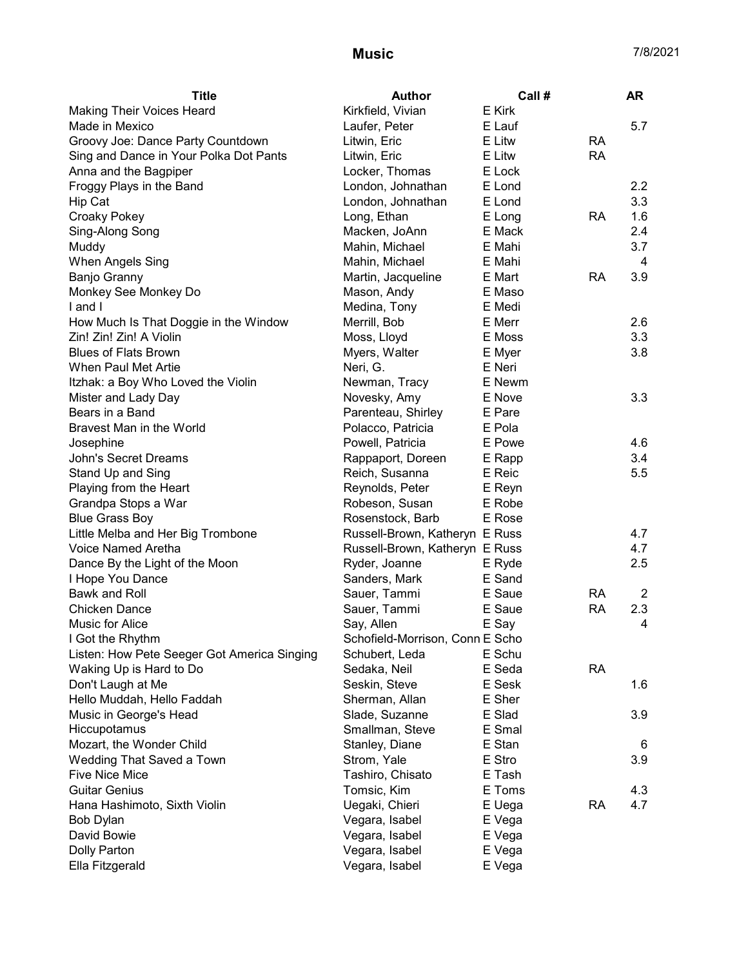| <b>Title</b>                                | <b>Author</b>                   | Call # |           | <b>AR</b> |
|---------------------------------------------|---------------------------------|--------|-----------|-----------|
| <b>Making Their Voices Heard</b>            | Kirkfield, Vivian               | E Kirk |           |           |
| Made in Mexico                              | Laufer, Peter                   | E Lauf |           | 5.7       |
| Groovy Joe: Dance Party Countdown           | Litwin, Eric                    | E Litw | <b>RA</b> |           |
| Sing and Dance in Your Polka Dot Pants      | Litwin, Eric                    | E Litw | <b>RA</b> |           |
| Anna and the Bagpiper                       | Locker, Thomas                  | E Lock |           |           |
| Froggy Plays in the Band                    | London, Johnathan               | E Lond |           | 2.2       |
| Hip Cat                                     | London, Johnathan               | E Lond |           | 3.3       |
| <b>Croaky Pokey</b>                         | Long, Ethan                     | E Long | <b>RA</b> | 1.6       |
| Sing-Along Song                             | Macken, JoAnn                   | E Mack |           | 2.4       |
| Muddy                                       | Mahin, Michael                  | E Mahi |           | 3.7       |
| When Angels Sing                            | Mahin, Michael                  | E Mahi |           | 4         |
| <b>Banjo Granny</b>                         | Martin, Jacqueline              | E Mart | RA        | 3.9       |
| Monkey See Monkey Do                        | Mason, Andy                     | E Maso |           |           |
| I and I                                     | Medina, Tony                    | E Medi |           |           |
| How Much Is That Doggie in the Window       | Merrill, Bob                    | E Merr |           | 2.6       |
| Zin! Zin! Zin! A Violin                     | Moss, Lloyd                     | E Moss |           | 3.3       |
| <b>Blues of Flats Brown</b>                 | Myers, Walter                   | E Myer |           | 3.8       |
| When Paul Met Artie                         | Neri, G.                        | E Neri |           |           |
| Itzhak: a Boy Who Loved the Violin          | Newman, Tracy                   | E Newm |           |           |
| Mister and Lady Day                         | Novesky, Amy                    | E Nove |           | 3.3       |
| Bears in a Band                             | Parenteau, Shirley              | E Pare |           |           |
| Bravest Man in the World                    | Polacco, Patricia               | E Pola |           |           |
| Josephine                                   | Powell, Patricia                | E Powe |           | 4.6       |
| John's Secret Dreams                        | Rappaport, Doreen               | E Rapp |           | 3.4       |
| Stand Up and Sing                           | Reich, Susanna                  | E Reic |           | 5.5       |
| Playing from the Heart                      | Reynolds, Peter                 | E Reyn |           |           |
| Grandpa Stops a War                         | Robeson, Susan                  | E Robe |           |           |
| <b>Blue Grass Boy</b>                       | Rosenstock, Barb                | E Rose |           |           |
| Little Melba and Her Big Trombone           | Russell-Brown, Katheryn E Russ  |        |           | 4.7       |
| Voice Named Aretha                          | Russell-Brown, Katheryn E Russ  |        |           | 4.7       |
| Dance By the Light of the Moon              | Ryder, Joanne                   | E Ryde |           | 2.5       |
| I Hope You Dance                            | Sanders, Mark                   | E Sand |           |           |
| Bawk and Roll                               | Sauer, Tammi                    | E Saue | <b>RA</b> | 2         |
| <b>Chicken Dance</b>                        | Sauer, Tammi                    | E Saue | <b>RA</b> | 2.3       |
| Music for Alice                             | Say, Allen                      | E Say  |           | 4         |
| I Got the Rhythm                            | Schofield-Morrison, Conn E Scho |        |           |           |
| Listen: How Pete Seeger Got America Singing | Schubert, Leda                  | E Schu |           |           |
| Waking Up is Hard to Do                     | Sedaka, Neil                    | E Seda | <b>RA</b> |           |
| Don't Laugh at Me                           | Seskin, Steve                   | E Sesk |           | 1.6       |
| Hello Muddah, Hello Faddah                  | Sherman, Allan                  | E Sher |           |           |
| Music in George's Head                      | Slade, Suzanne                  | E Slad |           | 3.9       |
| Hiccupotamus                                | Smallman, Steve                 | E Smal |           |           |
| Mozart, the Wonder Child                    | Stanley, Diane                  | E Stan |           | 6         |
| Wedding That Saved a Town                   | Strom, Yale                     | E Stro |           | 3.9       |
| <b>Five Nice Mice</b>                       | Tashiro, Chisato                | E Tash |           |           |
| <b>Guitar Genius</b>                        | Tomsic, Kim                     | E Toms |           | 4.3       |
| Hana Hashimoto, Sixth Violin                | Uegaki, Chieri                  | E Uega | <b>RA</b> | 4.7       |
| Bob Dylan                                   | Vegara, Isabel                  | E Vega |           |           |
| David Bowie                                 | Vegara, Isabel                  | E Vega |           |           |
| Dolly Parton                                | Vegara, Isabel                  | E Vega |           |           |
| Ella Fitzgerald                             | Vegara, Isabel                  | E Vega |           |           |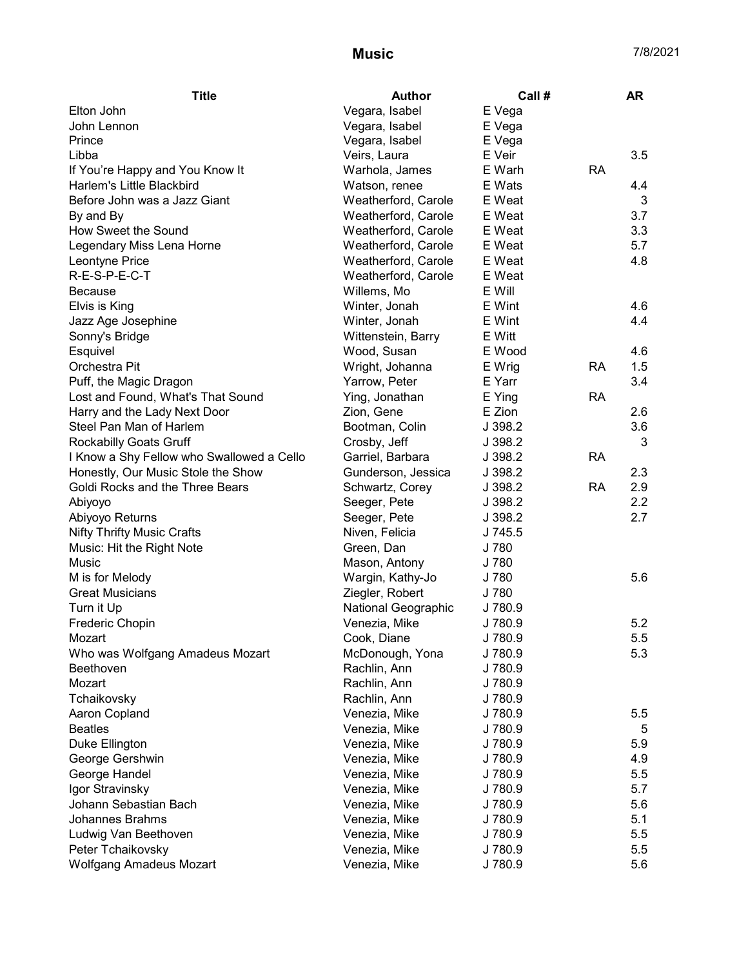| <b>Title</b>                              | <b>Author</b>       | Call #  |           | <b>AR</b> |
|-------------------------------------------|---------------------|---------|-----------|-----------|
| Elton John                                | Vegara, Isabel      | E Vega  |           |           |
| John Lennon                               | Vegara, Isabel      | E Vega  |           |           |
| Prince                                    | Vegara, Isabel      | E Vega  |           |           |
| Libba                                     | Veirs, Laura        | E Veir  |           | 3.5       |
| If You're Happy and You Know It           | Warhola, James      | E Warh  | <b>RA</b> |           |
| Harlem's Little Blackbird                 | Watson, renee       | E Wats  |           | 4.4       |
| Before John was a Jazz Giant              | Weatherford, Carole | E Weat  |           | 3         |
| By and By                                 | Weatherford, Carole | E Weat  |           | 3.7       |
| How Sweet the Sound                       | Weatherford, Carole | E Weat  |           | 3.3       |
| Legendary Miss Lena Horne                 | Weatherford, Carole | E Weat  |           | 5.7       |
| Leontyne Price                            | Weatherford, Carole | E Weat  |           | 4.8       |
| R-E-S-P-E-C-T                             | Weatherford, Carole | E Weat  |           |           |
| <b>Because</b>                            | Willems, Mo         | E Will  |           |           |
| Elvis is King                             | Winter, Jonah       | E Wint  |           | 4.6       |
| Jazz Age Josephine                        | Winter, Jonah       | E Wint  |           | 4.4       |
| Sonny's Bridge                            | Wittenstein, Barry  | E Witt  |           |           |
| Esquivel                                  | Wood, Susan         | E Wood  |           | 4.6       |
| Orchestra Pit                             | Wright, Johanna     | E Wrig  | <b>RA</b> | 1.5       |
| Puff, the Magic Dragon                    | Yarrow, Peter       | E Yarr  |           | 3.4       |
| Lost and Found, What's That Sound         | Ying, Jonathan      | E Ying  | <b>RA</b> |           |
| Harry and the Lady Next Door              | Zion, Gene          | E Zion  |           | 2.6       |
| Steel Pan Man of Harlem                   | Bootman, Colin      | J 398.2 |           | 3.6       |
| <b>Rockabilly Goats Gruff</b>             | Crosby, Jeff        | J 398.2 |           | 3         |
| I Know a Shy Fellow who Swallowed a Cello | Garriel, Barbara    | J 398.2 | <b>RA</b> |           |
| Honestly, Our Music Stole the Show        | Gunderson, Jessica  | J 398.2 |           | 2.3       |
| Goldi Rocks and the Three Bears           | Schwartz, Corey     | J 398.2 | <b>RA</b> | 2.9       |
| Abiyoyo                                   | Seeger, Pete        | J 398.2 |           | 2.2       |
| Abiyoyo Returns                           | Seeger, Pete        | J 398.2 |           | 2.7       |
| <b>Nifty Thrifty Music Crafts</b>         | Niven, Felicia      | J 745.5 |           |           |
| Music: Hit the Right Note                 | Green, Dan          | J 780   |           |           |
| Music                                     | Mason, Antony       | J 780   |           |           |
| M is for Melody                           | Wargin, Kathy-Jo    | J 780   |           | 5.6       |
| <b>Great Musicians</b>                    | Ziegler, Robert     | J 780   |           |           |
| Turn it Up                                | National Geographic | J 780.9 |           |           |
| Frederic Chopin                           | Venezia, Mike       | J 780.9 |           | 5.2       |
| Mozart                                    | Cook, Diane         | J 780.9 |           | 5.5       |
| Who was Wolfgang Amadeus Mozart           | McDonough, Yona     | J 780.9 |           | 5.3       |
| Beethoven                                 | Rachlin, Ann        | J 780.9 |           |           |
| Mozart                                    | Rachlin, Ann        | J 780.9 |           |           |
| Tchaikovsky                               | Rachlin, Ann        | J 780.9 |           |           |
| Aaron Copland                             | Venezia, Mike       | J 780.9 |           | 5.5       |
| <b>Beatles</b>                            | Venezia, Mike       | J 780.9 |           | 5         |
| Duke Ellington                            | Venezia, Mike       | J 780.9 |           | 5.9       |
| George Gershwin                           | Venezia, Mike       | J 780.9 |           | 4.9       |
| George Handel                             | Venezia, Mike       | J 780.9 |           | 5.5       |
| Igor Stravinsky                           | Venezia, Mike       | J 780.9 |           | 5.7       |
| Johann Sebastian Bach                     | Venezia, Mike       | J780.9  |           | 5.6       |
| <b>Johannes Brahms</b>                    | Venezia, Mike       | J 780.9 |           | 5.1       |
| Ludwig Van Beethoven                      | Venezia, Mike       | J780.9  |           | 5.5       |
| Peter Tchaikovsky                         | Venezia, Mike       | J 780.9 |           | 5.5       |
| <b>Wolfgang Amadeus Mozart</b>            | Venezia, Mike       | J 780.9 |           | 5.6       |
|                                           |                     |         |           |           |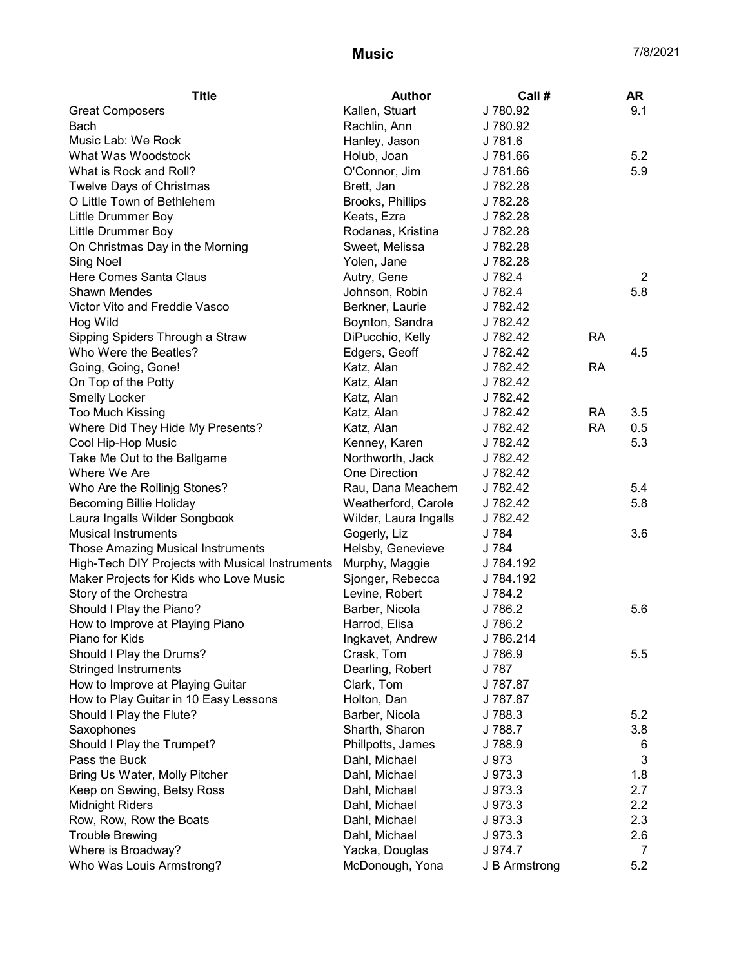| <b>Title</b>                                    | Author                | Call#         |           | <b>AR</b>      |
|-------------------------------------------------|-----------------------|---------------|-----------|----------------|
| <b>Great Composers</b>                          | Kallen, Stuart        | J 780.92      |           | 9.1            |
| Bach                                            | Rachlin, Ann          | J 780.92      |           |                |
| Music Lab: We Rock                              | Hanley, Jason         | J 781.6       |           |                |
| What Was Woodstock                              | Holub, Joan           | J 781.66      |           | 5.2            |
| What is Rock and Roll?                          | O'Connor, Jim         | J781.66       |           | 5.9            |
| Twelve Days of Christmas                        | Brett, Jan            | J 782.28      |           |                |
| O Little Town of Bethlehem                      | Brooks, Phillips      | J 782.28      |           |                |
| Little Drummer Boy                              | Keats, Ezra           | J 782.28      |           |                |
| Little Drummer Boy                              | Rodanas, Kristina     | J 782.28      |           |                |
| On Christmas Day in the Morning                 | Sweet, Melissa        | J 782.28      |           |                |
| Sing Noel                                       | Yolen, Jane           | J 782.28      |           |                |
| Here Comes Santa Claus                          | Autry, Gene           | J 782.4       |           | $\overline{2}$ |
| <b>Shawn Mendes</b>                             | Johnson, Robin        | J 782.4       |           | 5.8            |
| Victor Vito and Freddie Vasco                   | Berkner, Laurie       | J 782.42      |           |                |
| Hog Wild                                        | Boynton, Sandra       | J 782.42      |           |                |
| Sipping Spiders Through a Straw                 | DiPucchio, Kelly      | J 782.42      | <b>RA</b> |                |
| Who Were the Beatles?                           | Edgers, Geoff         | J 782.42      |           | 4.5            |
| Going, Going, Gone!                             | Katz, Alan            | J 782.42      | <b>RA</b> |                |
| On Top of the Potty                             | Katz, Alan            | J 782.42      |           |                |
| <b>Smelly Locker</b>                            | Katz, Alan            | J 782.42      |           |                |
| <b>Too Much Kissing</b>                         | Katz, Alan            | J 782.42      | <b>RA</b> | 3.5            |
| Where Did They Hide My Presents?                | Katz, Alan            | J 782.42      | <b>RA</b> | 0.5            |
| Cool Hip-Hop Music                              | Kenney, Karen         | J 782.42      |           | 5.3            |
| Take Me Out to the Ballgame                     | Northworth, Jack      | J 782.42      |           |                |
| Where We Are                                    | One Direction         | J 782.42      |           |                |
| Who Are the Rollinjg Stones?                    | Rau, Dana Meachem     | J 782.42      |           | 5.4            |
| <b>Becoming Billie Holiday</b>                  | Weatherford, Carole   | J 782.42      |           | 5.8            |
| Laura Ingalls Wilder Songbook                   | Wilder, Laura Ingalls | J 782.42      |           |                |
| <b>Musical Instruments</b>                      | Gogerly, Liz          | J 784         |           | 3.6            |
| <b>Those Amazing Musical Instruments</b>        | Helsby, Genevieve     | J 784         |           |                |
| High-Tech DIY Projects with Musical Instruments | Murphy, Maggie        | J 784.192     |           |                |
| Maker Projects for Kids who Love Music          | Sjonger, Rebecca      | J 784.192     |           |                |
| Story of the Orchestra                          | Levine, Robert        | J 784.2       |           |                |
| Should I Play the Piano?                        | Barber, Nicola        | J 786.2       |           | 5.6            |
| How to Improve at Playing Piano                 | Harrod, Elisa         | J 786.2       |           |                |
| Piano for Kids                                  | Ingkavet, Andrew      | J 786.214     |           |                |
| Should I Play the Drums?                        | Crask, Tom            | J 786.9       |           | 5.5            |
| <b>Stringed Instruments</b>                     | Dearling, Robert      | J 787         |           |                |
| How to Improve at Playing Guitar                | Clark, Tom            | J 787.87      |           |                |
| How to Play Guitar in 10 Easy Lessons           | Holton, Dan           | J 787.87      |           |                |
| Should I Play the Flute?                        | Barber, Nicola        | J 788.3       |           | 5.2            |
| Saxophones                                      | Sharth, Sharon        | J 788.7       |           | 3.8            |
| Should I Play the Trumpet?                      | Phillpotts, James     | J 788.9       |           | 6              |
| Pass the Buck                                   | Dahl, Michael         | J 973         |           | 3              |
| Bring Us Water, Molly Pitcher                   | Dahl, Michael         | J 973.3       |           | 1.8            |
| Keep on Sewing, Betsy Ross                      | Dahl, Michael         | J 973.3       |           | 2.7            |
| <b>Midnight Riders</b>                          | Dahl, Michael         | J 973.3       |           | 2.2            |
| Row, Row, Row the Boats                         | Dahl, Michael         | J 973.3       |           | 2.3            |
| <b>Trouble Brewing</b>                          | Dahl, Michael         | J 973.3       |           | 2.6            |
| Where is Broadway?                              | Yacka, Douglas        | J 974.7       |           | 7              |
| Who Was Louis Armstrong?                        | McDonough, Yona       | J B Armstrong |           | 5.2            |
|                                                 |                       |               |           |                |